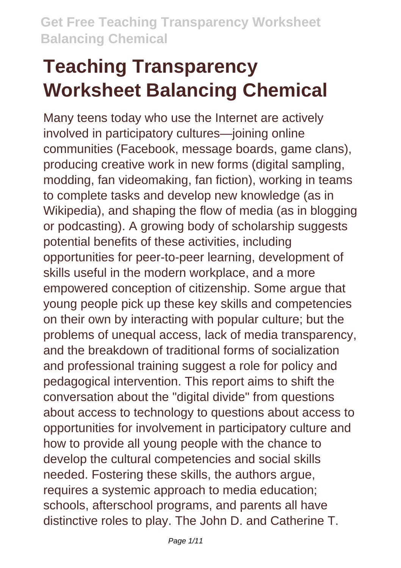# **Teaching Transparency Worksheet Balancing Chemical**

Many teens today who use the Internet are actively involved in participatory cultures—joining online communities (Facebook, message boards, game clans), producing creative work in new forms (digital sampling, modding, fan videomaking, fan fiction), working in teams to complete tasks and develop new knowledge (as in Wikipedia), and shaping the flow of media (as in blogging or podcasting). A growing body of scholarship suggests potential benefits of these activities, including opportunities for peer-to-peer learning, development of skills useful in the modern workplace, and a more empowered conception of citizenship. Some argue that young people pick up these key skills and competencies on their own by interacting with popular culture; but the problems of unequal access, lack of media transparency, and the breakdown of traditional forms of socialization and professional training suggest a role for policy and pedagogical intervention. This report aims to shift the conversation about the "digital divide" from questions about access to technology to questions about access to opportunities for involvement in participatory culture and how to provide all young people with the chance to develop the cultural competencies and social skills needed. Fostering these skills, the authors argue, requires a systemic approach to media education; schools, afterschool programs, and parents all have distinctive roles to play. The John D. and Catherine T.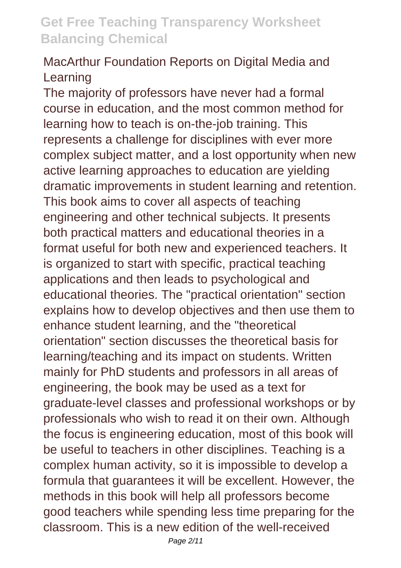#### MacArthur Foundation Reports on Digital Media and Learning

The majority of professors have never had a formal course in education, and the most common method for learning how to teach is on-the-job training. This represents a challenge for disciplines with ever more complex subject matter, and a lost opportunity when new active learning approaches to education are yielding dramatic improvements in student learning and retention. This book aims to cover all aspects of teaching engineering and other technical subjects. It presents both practical matters and educational theories in a format useful for both new and experienced teachers. It is organized to start with specific, practical teaching applications and then leads to psychological and educational theories. The "practical orientation" section explains how to develop objectives and then use them to enhance student learning, and the "theoretical orientation" section discusses the theoretical basis for learning/teaching and its impact on students. Written mainly for PhD students and professors in all areas of engineering, the book may be used as a text for graduate-level classes and professional workshops or by professionals who wish to read it on their own. Although the focus is engineering education, most of this book will be useful to teachers in other disciplines. Teaching is a complex human activity, so it is impossible to develop a formula that guarantees it will be excellent. However, the methods in this book will help all professors become good teachers while spending less time preparing for the classroom. This is a new edition of the well-received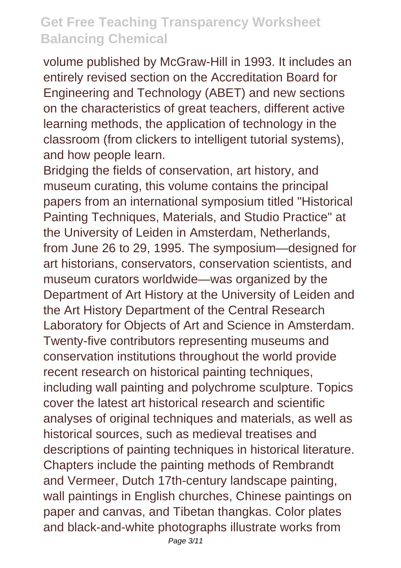volume published by McGraw-Hill in 1993. It includes an entirely revised section on the Accreditation Board for Engineering and Technology (ABET) and new sections on the characteristics of great teachers, different active learning methods, the application of technology in the classroom (from clickers to intelligent tutorial systems), and how people learn.

Bridging the fields of conservation, art history, and museum curating, this volume contains the principal papers from an international symposium titled "Historical Painting Techniques, Materials, and Studio Practice" at the University of Leiden in Amsterdam, Netherlands, from June 26 to 29, 1995. The symposium—designed for art historians, conservators, conservation scientists, and museum curators worldwide—was organized by the Department of Art History at the University of Leiden and the Art History Department of the Central Research Laboratory for Objects of Art and Science in Amsterdam. Twenty-five contributors representing museums and conservation institutions throughout the world provide recent research on historical painting techniques, including wall painting and polychrome sculpture. Topics cover the latest art historical research and scientific analyses of original techniques and materials, as well as historical sources, such as medieval treatises and descriptions of painting techniques in historical literature. Chapters include the painting methods of Rembrandt and Vermeer, Dutch 17th-century landscape painting, wall paintings in English churches, Chinese paintings on paper and canvas, and Tibetan thangkas. Color plates and black-and-white photographs illustrate works from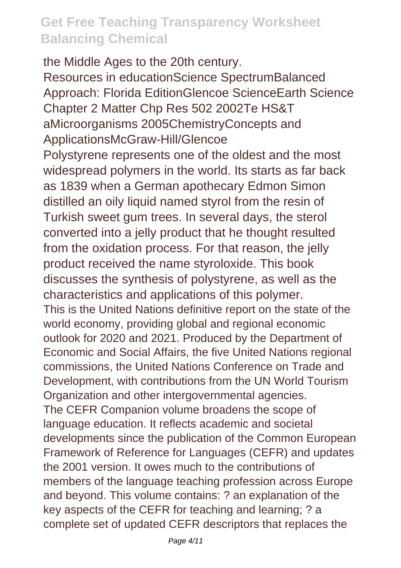the Middle Ages to the 20th century. Resources in educationScience SpectrumBalanced Approach: Florida EditionGlencoe ScienceEarth Science Chapter 2 Matter Chp Res 502 2002Te HS&T aMicroorganisms 2005ChemistryConcepts and ApplicationsMcGraw-Hill/Glencoe Polystyrene represents one of the oldest and the most widespread polymers in the world. Its starts as far back as 1839 when a German apothecary Edmon Simon distilled an oily liquid named styrol from the resin of Turkish sweet gum trees. In several days, the sterol converted into a jelly product that he thought resulted from the oxidation process. For that reason, the jelly product received the name styroloxide. This book discusses the synthesis of polystyrene, as well as the characteristics and applications of this polymer. This is the United Nations definitive report on the state of the world economy, providing global and regional economic outlook for 2020 and 2021. Produced by the Department of Economic and Social Affairs, the five United Nations regional commissions, the United Nations Conference on Trade and Development, with contributions from the UN World Tourism Organization and other intergovernmental agencies. The CEFR Companion volume broadens the scope of language education. It reflects academic and societal developments since the publication of the Common European Framework of Reference for Languages (CEFR) and updates the 2001 version. It owes much to the contributions of members of the language teaching profession across Europe and beyond. This volume contains: ? an explanation of the key aspects of the CEFR for teaching and learning; ? a complete set of updated CEFR descriptors that replaces the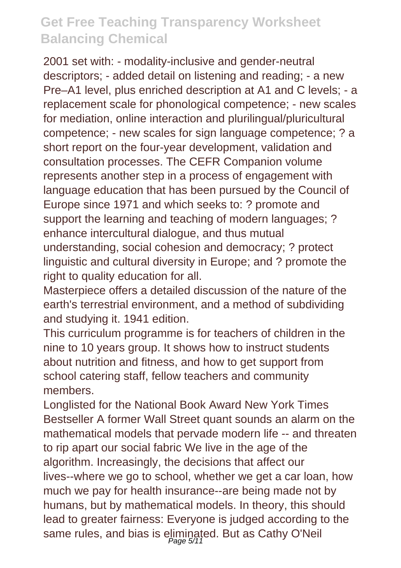2001 set with: - modality-inclusive and gender-neutral descriptors; - added detail on listening and reading; - a new Pre–A1 level, plus enriched description at A1 and C levels; - a replacement scale for phonological competence; - new scales for mediation, online interaction and plurilingual/pluricultural competence; - new scales for sign language competence; ? a short report on the four-year development, validation and consultation processes. The CEFR Companion volume represents another step in a process of engagement with language education that has been pursued by the Council of Europe since 1971 and which seeks to: ? promote and support the learning and teaching of modern languages; ? enhance intercultural dialogue, and thus mutual understanding, social cohesion and democracy; ? protect linguistic and cultural diversity in Europe; and ? promote the right to quality education for all.

Masterpiece offers a detailed discussion of the nature of the earth's terrestrial environment, and a method of subdividing and studying it. 1941 edition.

This curriculum programme is for teachers of children in the nine to 10 years group. It shows how to instruct students about nutrition and fitness, and how to get support from school catering staff, fellow teachers and community members.

Longlisted for the National Book Award New York Times Bestseller A former Wall Street quant sounds an alarm on the mathematical models that pervade modern life -- and threaten to rip apart our social fabric We live in the age of the algorithm. Increasingly, the decisions that affect our lives--where we go to school, whether we get a car loan, how much we pay for health insurance--are being made not by humans, but by mathematical models. In theory, this should lead to greater fairness: Everyone is judged according to the same rules, and bias is eliminated. But as Cathy O'Neil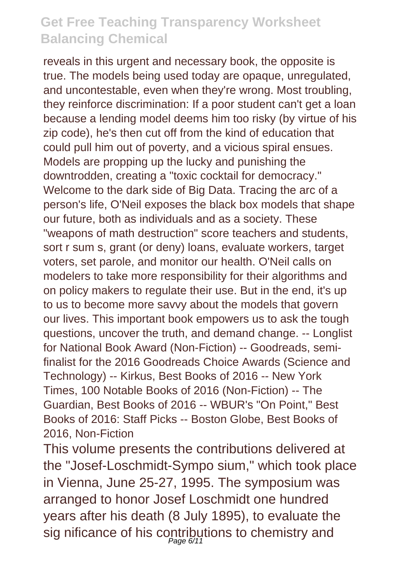reveals in this urgent and necessary book, the opposite is true. The models being used today are opaque, unregulated, and uncontestable, even when they're wrong. Most troubling, they reinforce discrimination: If a poor student can't get a loan because a lending model deems him too risky (by virtue of his zip code), he's then cut off from the kind of education that could pull him out of poverty, and a vicious spiral ensues. Models are propping up the lucky and punishing the downtrodden, creating a "toxic cocktail for democracy." Welcome to the dark side of Big Data. Tracing the arc of a person's life, O'Neil exposes the black box models that shape our future, both as individuals and as a society. These "weapons of math destruction" score teachers and students, sort r sum s, grant (or deny) loans, evaluate workers, target voters, set parole, and monitor our health. O'Neil calls on modelers to take more responsibility for their algorithms and on policy makers to regulate their use. But in the end, it's up to us to become more savvy about the models that govern our lives. This important book empowers us to ask the tough questions, uncover the truth, and demand change. -- Longlist for National Book Award (Non-Fiction) -- Goodreads, semifinalist for the 2016 Goodreads Choice Awards (Science and Technology) -- Kirkus, Best Books of 2016 -- New York Times, 100 Notable Books of 2016 (Non-Fiction) -- The Guardian, Best Books of 2016 -- WBUR's "On Point," Best Books of 2016: Staff Picks -- Boston Globe, Best Books of 2016, Non-Fiction

This volume presents the contributions delivered at the "Josef-Loschmidt-Sympo sium," which took place in Vienna, June 25-27, 1995. The symposium was arranged to honor Josef Loschmidt one hundred years after his death (8 July 1895), to evaluate the sig nificance of his contributions to chemistry and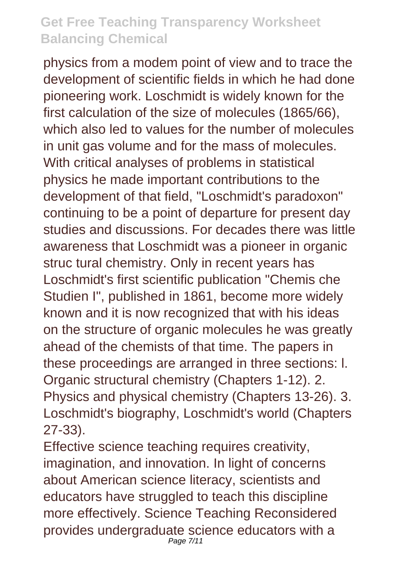physics from a modem point of view and to trace the development of scientific fields in which he had done pioneering work. Loschmidt is widely known for the first calculation of the size of molecules (1865/66), which also led to values for the number of molecules in unit gas volume and for the mass of molecules. With critical analyses of problems in statistical physics he made important contributions to the development of that field, "Loschmidt's paradoxon" continuing to be a point of departure for present day studies and discussions. For decades there was little awareness that Loschmidt was a pioneer in organic struc tural chemistry. Only in recent years has Loschmidt's first scientific publication "Chemis che Studien I", published in 1861, become more widely known and it is now recognized that with his ideas on the structure of organic molecules he was greatly ahead of the chemists of that time. The papers in these proceedings are arranged in three sections: l. Organic structural chemistry (Chapters 1-12). 2. Physics and physical chemistry (Chapters 13-26). 3. Loschmidt's biography, Loschmidt's world (Chapters 27-33).

Effective science teaching requires creativity, imagination, and innovation. In light of concerns about American science literacy, scientists and educators have struggled to teach this discipline more effectively. Science Teaching Reconsidered provides undergraduate science educators with a Page 7/11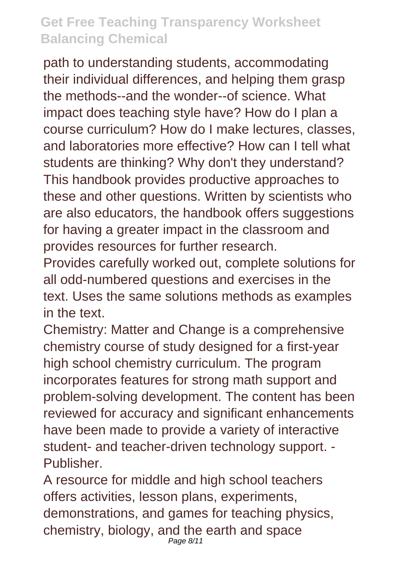path to understanding students, accommodating their individual differences, and helping them grasp the methods--and the wonder--of science. What impact does teaching style have? How do I plan a course curriculum? How do I make lectures, classes, and laboratories more effective? How can I tell what students are thinking? Why don't they understand? This handbook provides productive approaches to these and other questions. Written by scientists who are also educators, the handbook offers suggestions for having a greater impact in the classroom and provides resources for further research.

Provides carefully worked out, complete solutions for all odd-numbered questions and exercises in the text. Uses the same solutions methods as examples in the text.

Chemistry: Matter and Change is a comprehensive chemistry course of study designed for a first-year high school chemistry curriculum. The program incorporates features for strong math support and problem-solving development. The content has been reviewed for accuracy and significant enhancements have been made to provide a variety of interactive student- and teacher-driven technology support. - Publisher.

A resource for middle and high school teachers offers activities, lesson plans, experiments, demonstrations, and games for teaching physics, chemistry, biology, and the earth and space Page 8/11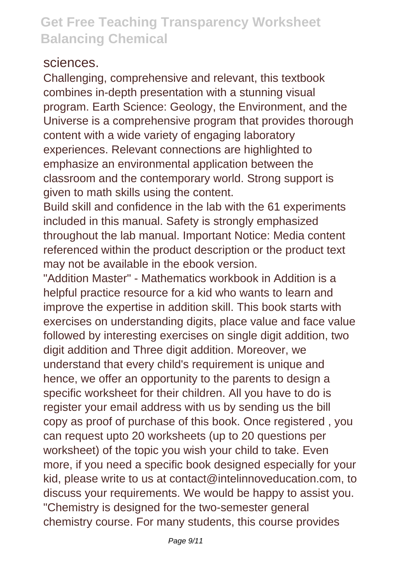#### sciences.

Challenging, comprehensive and relevant, this textbook combines in-depth presentation with a stunning visual program. Earth Science: Geology, the Environment, and the Universe is a comprehensive program that provides thorough content with a wide variety of engaging laboratory experiences. Relevant connections are highlighted to emphasize an environmental application between the classroom and the contemporary world. Strong support is given to math skills using the content.

Build skill and confidence in the lab with the 61 experiments included in this manual. Safety is strongly emphasized throughout the lab manual. Important Notice: Media content referenced within the product description or the product text may not be available in the ebook version.

"Addition Master" - Mathematics workbook in Addition is a helpful practice resource for a kid who wants to learn and improve the expertise in addition skill. This book starts with exercises on understanding digits, place value and face value followed by interesting exercises on single digit addition, two digit addition and Three digit addition. Moreover, we understand that every child's requirement is unique and hence, we offer an opportunity to the parents to design a specific worksheet for their children. All you have to do is register your email address with us by sending us the bill copy as proof of purchase of this book. Once registered , you can request upto 20 worksheets (up to 20 questions per worksheet) of the topic you wish your child to take. Even more, if you need a specific book designed especially for your kid, please write to us at contact@intelinnoveducation.com, to discuss your requirements. We would be happy to assist you. "Chemistry is designed for the two-semester general chemistry course. For many students, this course provides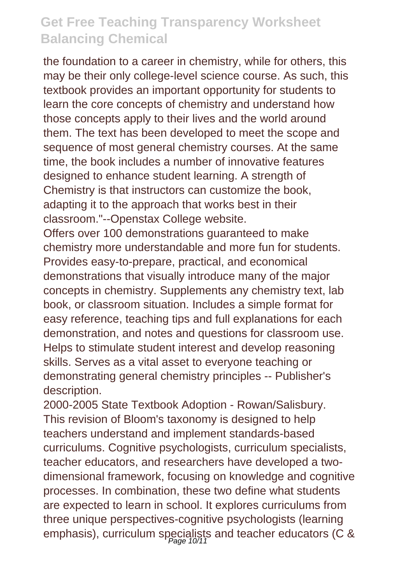the foundation to a career in chemistry, while for others, this may be their only college-level science course. As such, this textbook provides an important opportunity for students to learn the core concepts of chemistry and understand how those concepts apply to their lives and the world around them. The text has been developed to meet the scope and sequence of most general chemistry courses. At the same time, the book includes a number of innovative features designed to enhance student learning. A strength of Chemistry is that instructors can customize the book, adapting it to the approach that works best in their classroom."--Openstax College website.

Offers over 100 demonstrations guaranteed to make chemistry more understandable and more fun for students. Provides easy-to-prepare, practical, and economical demonstrations that visually introduce many of the major concepts in chemistry. Supplements any chemistry text, lab book, or classroom situation. Includes a simple format for easy reference, teaching tips and full explanations for each demonstration, and notes and questions for classroom use. Helps to stimulate student interest and develop reasoning skills. Serves as a vital asset to everyone teaching or demonstrating general chemistry principles -- Publisher's description.

2000-2005 State Textbook Adoption - Rowan/Salisbury. This revision of Bloom's taxonomy is designed to help teachers understand and implement standards-based curriculums. Cognitive psychologists, curriculum specialists, teacher educators, and researchers have developed a twodimensional framework, focusing on knowledge and cognitive processes. In combination, these two define what students are expected to learn in school. It explores curriculums from three unique perspectives-cognitive psychologists (learning emphasis), curriculum specialists and teacher educators (C &